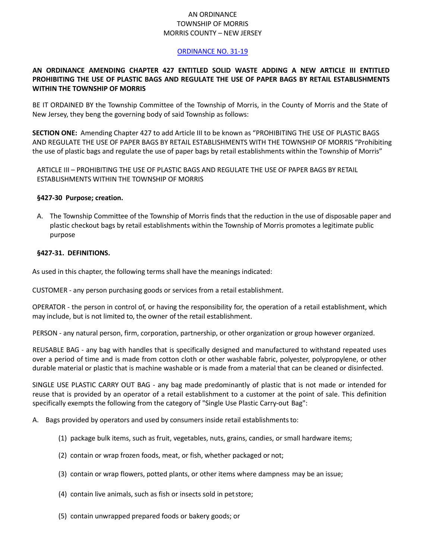# AN ORDINANCE TOWNSHIP OF MORRIS MORRIS COUNTY – NEW JERSEY

### [ORDINANCE NO. 31-19](https://ecode360.com/35606708)

## **AN ORDINANCE AMENDING CHAPTER 427 ENTITLED SOLID WASTE ADDING A NEW ARTICLE III ENTITLED PROHIBITING THE USE OF PLASTIC BAGS AND REGULATE THE USE OF PAPER BAGS BY RETAIL ESTABLISHMENTS WITHIN THE TOWNSHIP OF MORRIS**

BE IT ORDAINED BY the Township Committee of the Township of Morris, in the County of Morris and the State of New Jersey, they beng the governing body of said Township as follows:

**SECTION ONE:** Amending Chapter 427 to add Article III to be known as "PROHIBITING THE USE OF PLASTIC BAGS AND REGULATE THE USE OF PAPER BAGS BY RETAIL ESTABLISHMENTS WITH THE TOWNSHIP OF MORRIS "Prohibiting the use of plastic bags and regulate the use of paper bags by retail establishments within the Township of Morris"

ARTICLE III – PROHIBITING THE USE OF PLASTIC BAGS AND REGULATE THE USE OF PAPER BAGS BY RETAIL ESTABLISHMENTS WITHIN THE TOWNSHIP OF MORRIS

### **§427-30 Purpose; creation.**

A. The Township Committee of the Township of Morris finds that the reduction in the use of disposable paper and plastic checkout bags by retail establishments within the Township of Morris promotes a legitimate public purpose

#### **§427-31. DEFINITIONS.**

As used in this chapter, the following terms shall have the meanings indicated:

CUSTOMER - any person purchasing goods or services from a retail establishment.

OPERATOR - the person in control of, or having the responsibility for, the operation of a retail establishment, which may include, but is not limited to, the owner of the retail establishment.

PERSON - any natural person, firm, corporation, partnership, or other organization or group however organized.

REUSABLE BAG - any bag with handles that is specifically designed and manufactured to withstand repeated uses over a period of time and is made from cotton cloth or other washable fabric, polyester, polypropylene, or other durable material or plastic that is machine washable or is made from a material that can be cleaned or disinfected.

SINGLE USE PLASTIC CARRY OUT BAG - any bag made predominantly of plastic that is not made or intended for reuse that is provided by an operator of a retail establishment to a customer at the point of sale. This definition specifically exempts the following from the category of "Single Use Plastic Carry-out Bag":

- A. Bags provided by operators and used by consumers inside retail establishmentsto:
	- (1) package bulk items, such as fruit, vegetables, nuts, grains, candies, or small hardware items;
	- (2) contain or wrap frozen foods, meat, or fish, whether packaged or not;
	- (3) contain or wrap flowers, potted plants, or other items where dampness may be an issue;
	- (4) contain live animals, such as fish or insects sold in petstore;
	- (5) contain unwrapped prepared foods or bakery goods; or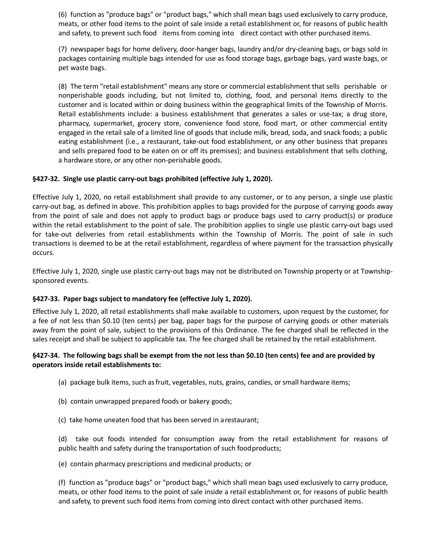(6) function as "produce bags" or "product bags," which shall mean bags used exclusively to carry produce, meats, or other food items to the point of sale inside a retail establishment or, for reasons of public health and safety, to prevent such food items from coming into direct contact with other purchased items.

(7) newspaper bags for home delivery, door-hanger bags, laundry and/or dry-cleaning bags, or bags sold in packages containing multiple bags intended for use as food storage bags, garbage bags, yard waste bags, or pet waste bags.

(8) The term "retail establishment" means any store or commercial establishment that sells perishable or nonperishable goods including, but not limited to, clothing, food, and personal items directly to the customer and is located within or doing business within the geographical limits of the Township of Morris. Retail establishments include: a business establishment that generates a sales or use-tax; a drug store, pharmacy, supermarket, grocery store, convenience food store, food mart, or other commercial entity engaged in the retail sale of a limited line of goods that include milk, bread, soda, and snack foods; a public eating establishment (i.e., a restaurant, take-out food establishment, or any other business that prepares and sells prepared food to be eaten on or off its premises); and business establishment that sells clothing, a hardware store, or any other non-perishable goods.

## **§427-32. Single use plastic carry-out bags prohibited (effective July 1, 2020).**

Effective July 1, 2020, no retail establishment shall provide to any customer, or to any person, a single use plastic carry-out bag, as defined in above. This prohibition applies to bags provided for the purpose of carrying goods away from the point of sale and does not apply to product bags or produce bags used to carry product(s) or produce within the retail establishment to the point of sale. The prohibition applies to single use plastic carry-out bags used for take-out deliveries from retail establishments within the Township of Morris. The point of sale in such transactions is deemed to be at the retail establishment, regardless of where payment for the transaction physically occurs.

Effective July 1, 2020, single use plastic carry-out bags may not be distributed on Township property or at Townshipsponsored events.

### **§427-33. Paper bags subject to mandatory fee (effective July 1, 2020).**

Effective July 1, 2020, all retail establishments shall make available to customers, upon request by the customer, for a fee of not less than \$0.10 (ten cents) per bag, paper bags for the purpose of carrying goods or other materials away from the point of sale, subject to the provisions of this Ordinance. The fee charged shall be reflected in the sales receipt and shall be subject to applicable tax. The fee charged shall be retained by the retail establishment.

# §427-34. The following bags shall be exempt from the not less than \$0.10 (ten cents) fee and are provided by **operators inside retail establishments to:**

- (a) package bulk items, such asfruit, vegetables, nuts, grains, candies, or small hardware items;
- (b) contain unwrapped prepared foods or bakery goods;
- (c) take home uneaten food that has been served in arestaurant;

(d) take out foods intended for consumption away from the retail establishment for reasons of public health and safety during the transportation of such foodproducts;

(e) contain pharmacy prescriptions and medicinal products; or

(f) function as "produce bags" or "product bags," which shall mean bags used exclusively to carry produce, meats, or other food items to the point of sale inside a retail establishment or, for reasons of public health and safety, to prevent such food items from coming into direct contact with other purchased items.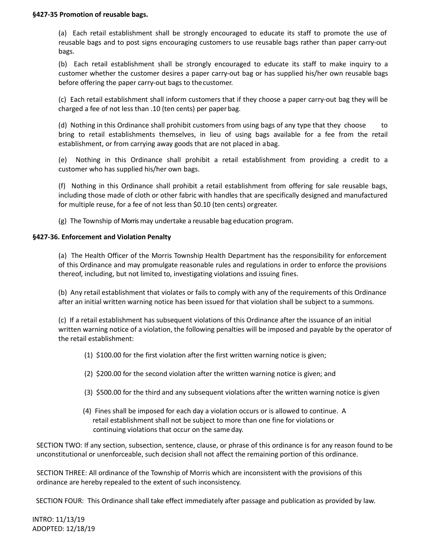(a) Each retail establishment shall be strongly encouraged to educate its staff to promote the use of reusable bags and to post signs encouraging customers to use reusable bags rather than paper carry-out bags.

(b) Each retail establishment shall be strongly encouraged to educate its staff to make inquiry to a customer whether the customer desires a paper carry-out bag or has supplied his/her own reusable bags before offering the paper carry-out bags to thecustomer.

(c) Each retail establishment shall inform customers that if they choose a paper carry-out bag they will be charged a fee of not less than .10 (ten cents) per paperbag.

(d) Nothing in this Ordinance shall prohibit customers from using bags of any type that they choose to bring to retail establishments themselves, in lieu of using bags available for a fee from the retail establishment, or from carrying away goods that are not placed in abag.

(e) Nothing in this Ordinance shall prohibit a retail establishment from providing a credit to a customer who has supplied his/her own bags.

(f) Nothing in this Ordinance shall prohibit a retail establishment from offering for sale reusable bags, including those made of cloth or other fabric with handles that are specifically designed and manufactured for multiple reuse, for a fee of not less than \$0.10 (ten cents) orgreater.

(g) The Township of Morris may undertake a reusable bag education program.

# **§427-36. Enforcement and Violation Penalty**

(a) The Health Officer of the Morris Township Health Department has the responsibility for enforcement of this Ordinance and may promulgate reasonable rules and regulations in order to enforce the provisions thereof, including, but not limited to, investigating violations and issuing fines.

(b) Any retail establishment that violates or fails to comply with any of the requirements of this Ordinance after an initial written warning notice has been issued for that violation shall be subject to a summons.

(c) If a retail establishment has subsequent violations of this Ordinance after the issuance of an initial written warning notice of a violation, the following penalties will be imposed and payable by the operator of the retail establishment:

- (1) \$100.00 for the first violation after the first written warning notice is given;
- (2) \$200.00 for the second violation after the written warning notice is given; and
- (3) \$500.00 for the third and any subsequent violations after the written warning notice is given
- (4) Fines shall be imposed for each day a violation occurs or is allowed to continue. A retail establishment shall not be subject to more than one fine for violations or continuing violations that occur on the same day.

SECTION TWO: If any section, subsection, sentence, clause, or phrase of this ordinance is for any reason found to be unconstitutional or unenforceable, such decision shall not affect the remaining portion of this ordinance.

SECTION THREE: All ordinance of the Township of Morris which are inconsistent with the provisions of this ordinance are hereby repealed to the extent of such inconsistency.

SECTION FOUR: This Ordinance shall take effect immediately after passage and publication as provided by law.

INTRO: 11/13/19 ADOPTED: 12/18/19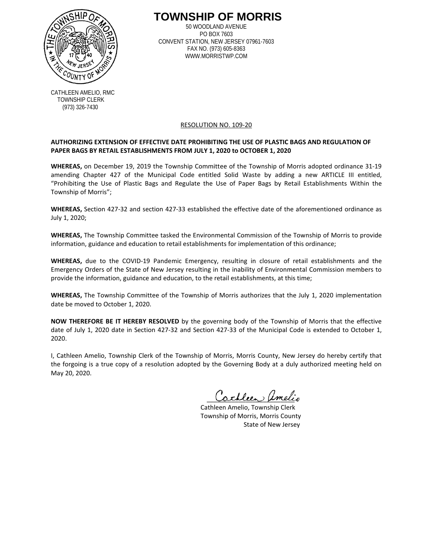

**TOWNSHIP OF MORRIS**

50 WOODLAND AVENUE PO BOX 7603 CONVENT STATION, NEW JERSEY 07961-7603 FAX NO. (973) 605-8363 WWW.MORRISTWP.COM

CATHLEEN AMELIO, RMC TOWNSHIP CLERK (973) 326-7430

#### RESOLUTION NO. 109-20

## **AUTHORIZING EXTENSION OF EFFECTIVE DATE PROHIBITING THE USE OF PLASTIC BAGS AND REGULATION OF PAPER BAGS BY RETAIL ESTABLISHMENTS FROM JULY 1, 2020 to OCTOBER 1, 2020**

**WHEREAS,** on December 19, 2019 the Township Committee of the Township of Morris adopted ordinance 31-19 amending Chapter 427 of the Municipal Code entitled Solid Waste by adding a new ARTICLE III entitled, "Prohibiting the Use of Plastic Bags and Regulate the Use of Paper Bags by Retail Establishments Within the Township of Morris";

**WHEREAS,** Section 427-32 and section 427-33 established the effective date of the aforementioned ordinance as July 1, 2020;

**WHEREAS,** The Township Committee tasked the Environmental Commission of the Township of Morris to provide information, guidance and education to retail establishments for implementation of this ordinance;

**WHEREAS,** due to the COVID-19 Pandemic Emergency, resulting in closure of retail establishments and the Emergency Orders of the State of New Jersey resulting in the inability of Environmental Commission members to provide the information, guidance and education, to the retail establishments, at this time;

**WHEREAS,** The Township Committee of the Township of Morris authorizes that the July 1, 2020 implementation date be moved to October 1, 2020.

**NOW THEREFORE BE IT HEREBY RESOLVED** by the governing body of the Township of Morris that the effective date of July 1, 2020 date in Section 427-32 and Section 427-33 of the Municipal Code is extended to October 1, 2020.

I, Cathleen Amelio, Township Clerk of the Township of Morris, Morris County, New Jersey do hereby certify that the forgoing is a true copy of a resolution adopted by the Governing Body at a duly authorized meeting held on May 20, 2020.

\_\_\_\_\_\_\_\_\_\_\_\_\_\_\_\_\_\_\_\_\_\_\_\_\_

 Cathleen Amelio, Township Clerk Township of Morris, Morris County State of New Jersey